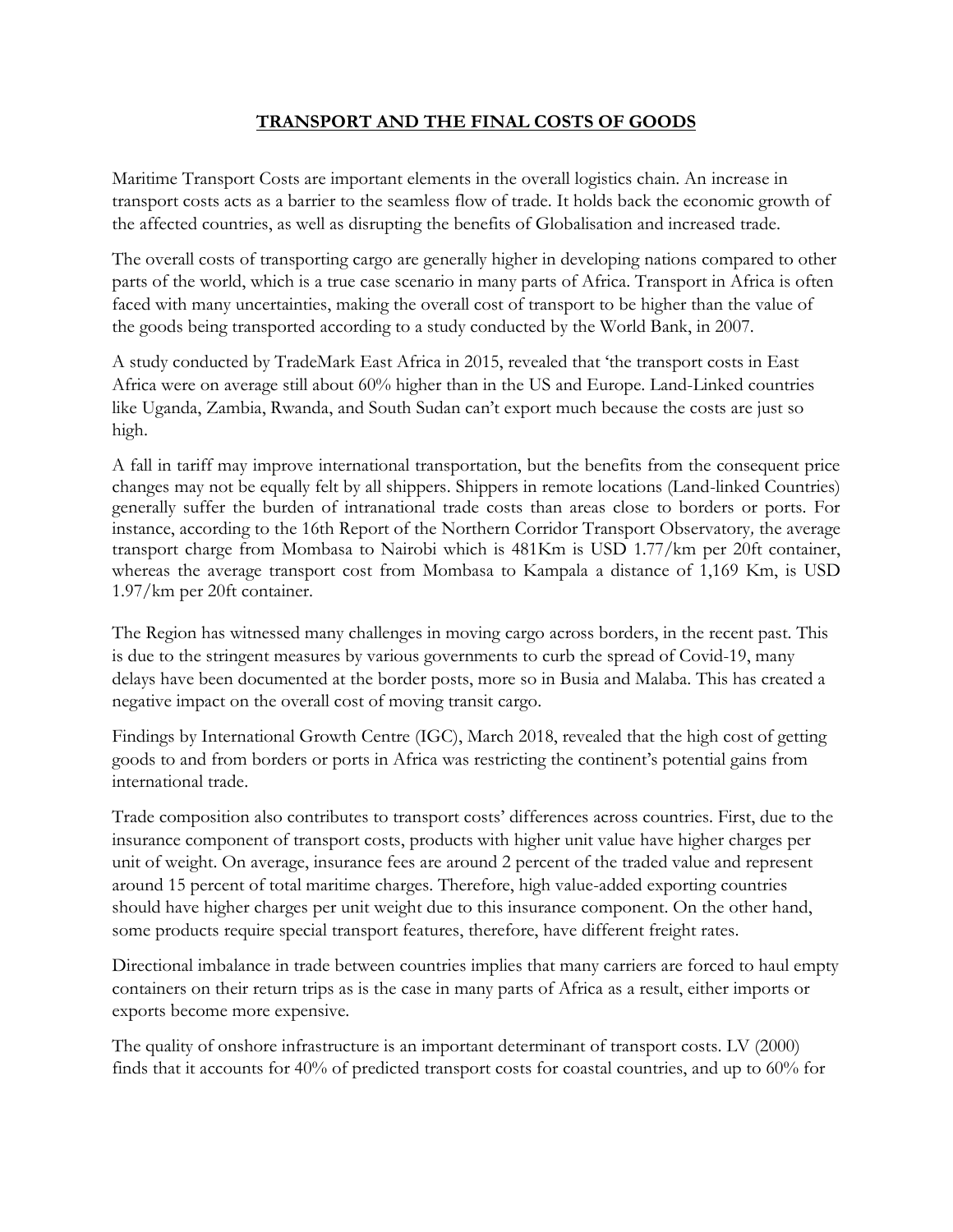## **TRANSPORT AND THE FINAL COSTS OF GOODS**

Maritime Transport Costs are important elements in the overall logistics chain. An increase in transport costs acts as a barrier to the seamless flow of trade. It holds back the economic growth of the affected countries, as well as disrupting the benefits of Globalisation and increased trade.

The overall costs of transporting cargo are generally higher in developing nations compared to other parts of the world, which is a true case scenario in many parts of Africa. Transport in Africa is often faced with many uncertainties, making the overall cost of transport to be higher than the value of the goods being transported according to a study conducted by the World Bank, in 2007.

A study conducted by TradeMark East Africa in 2015, revealed that 'the transport costs in East Africa were on average still about 60% higher than in the US and Europe. Land-Linked countries like Uganda, Zambia, Rwanda, and South Sudan can't export much because the costs are just so high.

A fall in tariff may improve international transportation, but the benefits from the consequent price changes may not be equally felt by all shippers. Shippers in remote locations (Land-linked Countries) generally suffer the burden of intranational trade costs than areas close to borders or ports. For instance, according to the 16th Report of the Northern Corridor Transport Observatory*,* the average transport charge from Mombasa to Nairobi which is 481Km is USD 1.77/km per 20ft container, whereas the average transport cost from Mombasa to Kampala a distance of 1,169 Km, is USD 1.97/km per 20ft container.

The Region has witnessed many challenges in moving cargo across borders, in the recent past. This is due to the stringent measures by various governments to curb the spread of Covid-19, many delays have been documented at the border posts, more so in Busia and Malaba. This has created a negative impact on the overall cost of moving transit cargo.

Findings by International Growth Centre (IGC), March 2018, revealed that the high cost of getting goods to and from borders or ports in Africa was restricting the continent's potential gains from international trade.

Trade composition also contributes to transport costs' differences across countries. First, due to the insurance component of transport costs, products with higher unit value have higher charges per unit of weight. On average, insurance fees are around 2 percent of the traded value and represent around 15 percent of total maritime charges. Therefore, high value-added exporting countries should have higher charges per unit weight due to this insurance component. On the other hand, some products require special transport features, therefore, have different freight rates.

Directional imbalance in trade between countries implies that many carriers are forced to haul empty containers on their return trips as is the case in many parts of Africa as a result, either imports or exports become more expensive.

The quality of onshore infrastructure is an important determinant of transport costs. LV (2000) finds that it accounts for 40% of predicted transport costs for coastal countries, and up to 60% for